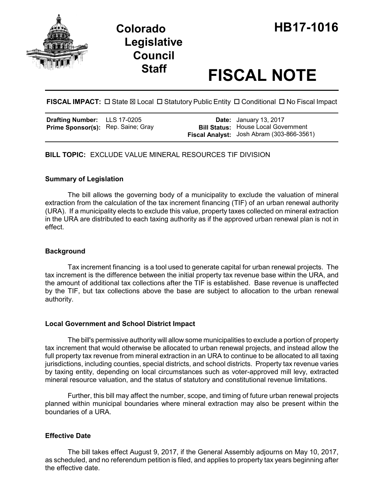



# **Staff FISCAL NOTE**

## FISCAL IMPACT:  $\Box$  State  $\boxtimes$  Local  $\Box$  Statutory Public Entity  $\Box$  Conditional  $\Box$  No Fiscal Impact

| <b>Drafting Number:</b>            | LLS 17-0205 |
|------------------------------------|-------------|
| Prime Sponsor(s): Rep. Saine; Gray |             |

**Date:** January 13, 2017 **Bill Status:** House Local Government **Fiscal Analyst:** Josh Abram (303-866-3561)

### **BILL TOPIC:** EXCLUDE VALUE MINERAL RESOURCES TIF DIVISION

#### **Summary of Legislation**

The bill allows the governing body of a municipality to exclude the valuation of mineral extraction from the calculation of the tax increment financing (TIF) of an urban renewal authority (URA). If a municipality elects to exclude this value, property taxes collected on mineral extraction in the URA are distributed to each taxing authority as if the approved urban renewal plan is not in effect.

#### **Background**

Tax increment financing is a tool used to generate capital for urban renewal projects. The tax increment is the difference between the initial property tax revenue base within the URA, and the amount of additional tax collections after the TIF is established. Base revenue is unaffected by the TIF, but tax collections above the base are subject to allocation to the urban renewal authority.

#### **Local Government and School District Impact**

The bill's permissive authority will allow some municipalities to exclude a portion of property tax increment that would otherwise be allocated to urban renewal projects, and instead allow the full property tax revenue from mineral extraction in an URA to continue to be allocated to all taxing jurisdictions, including counties, special districts, and school districts. Property tax revenue varies by taxing entity, depending on local circumstances such as voter-approved mill levy, extracted mineral resource valuation, and the status of statutory and constitutional revenue limitations.

Further, this bill may affect the number, scope, and timing of future urban renewal projects planned within municipal boundaries where mineral extraction may also be present within the boundaries of a URA.

#### **Effective Date**

The bill takes effect August 9, 2017, if the General Assembly adjourns on May 10, 2017, as scheduled, and no referendum petition is filed, and applies to property tax years beginning after the effective date.